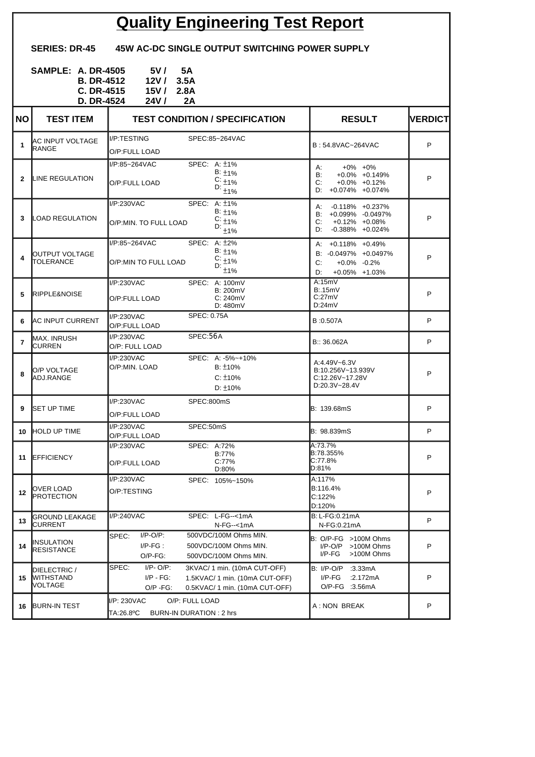## **Quality Engineering Test Report**

**SERIES: DR-45 45W AC-DC SINGLE OUTPUT SWITCHING POWER SUPPLY**

| <b>SAMPLE: A. DR-4505</b> | 5V /       | - 5A |
|---------------------------|------------|------|
| <b>B. DR-4512</b>         | 12V / 3.5A |      |
| $C. DR-4515$              | 15V/2.8A   |      |
| <b>D. DR-4524</b>         | 24V /      | 2A   |

| <b>NO</b>    | <b>TEST ITEM</b>                            | <b>TEST CONDITION / SPECIFICATION</b>                                                                                                                        | <b>RESULT</b>                                                                                            | <b>NERDICT</b> |
|--------------|---------------------------------------------|--------------------------------------------------------------------------------------------------------------------------------------------------------------|----------------------------------------------------------------------------------------------------------|----------------|
| 1            | <b>I</b> AC INPUT VOLTAGE<br><b>I</b> RANGE | I/P:TESTING<br>SPEC:85~264VAC<br>O/P:FULL LOAD                                                                                                               | B: 54.8VAC~264VAC                                                                                        | P              |
| $\mathbf{2}$ | <b>ILINE REGULATION</b>                     | I/P:85~264VAC<br>SPEC: A: ±1%<br>$B: \pm 1\%$<br>$C: \pm 1\%$<br>O/P:FULL LOAD<br>D:<br>$\pm$ 1%                                                             | $+0\% +0\%$<br>А:<br><b>B</b> :<br>$+0.0\% +0.149\%$<br>C:<br>$+0.0\% +0.12\%$<br>D: $+0.074\% +0.074\%$ | P              |
| 3            | LOAD REGULATION                             | SPEC: A: ±1%<br>I/P:230VAC<br>$B: \pm 1\%$<br>$C: \pm 1\%$<br>O/P:MIN. TO FULL LOAD<br>D: $_{\pm 1\%}$                                                       | A: -0.118% +0.237%<br>B: +0.099% -0.0497%<br>C:<br>+0.12% +0.08%<br>D: -0.388% +0.024%                   | P              |
| 4            | <b>I</b> OUTPUT VOLTAGE<br><b>TOLERANCE</b> | A: $±2%$<br>I/P:85~264VAC<br>SPEC:<br>$B: \pm 1\%$<br>$C: 1\frac{1}{2}$<br>O/P:MIN TO FULL LOAD<br>D:<br>±1%                                                 | A: +0.118% +0.49%<br>B: -0.0497% +0.0497%<br>C:<br>$+0.0\%$ -0.2%<br>+0.05% +1.03%<br>D:                 | P              |
| 5            | <b>IRIPPLE&amp;NOISE</b>                    | I/P:230VAC<br>SPEC: A: 100mV<br><b>B: 200mV</b><br>C: 240mV<br>O/P:FULL LOAD<br>D: 480mV                                                                     | A:15mV<br>B:15mV<br>C:27mV<br>D:24mV                                                                     | P              |
| 6.           | <b>IAC INPUT CURRENT</b>                    | <b>SPEC: 0.75A</b><br>I/P:230VAC<br>O/P:FULL LOAD                                                                                                            | B:0.507A                                                                                                 | P              |
| 7            | MAX. INRUSH<br><b>CURREN</b>                | SPEC:56A<br>I/P:230VAC<br>O/P: FULL LOAD                                                                                                                     | B:: 36.062A                                                                                              | P              |
| 8            | O/P VOLTAGE<br>ADJ.RANGE                    | I/P:230VAC<br>SPEC: A: -5%~+10%<br>O/P:MIN. LOAD<br>$B: \pm 10\%$<br>$C: \pm 10\%$<br>$D: \pm 10\%$                                                          | A:4.49V~6.3V<br>B:10.256V~13.939V<br>C:12.26V~17.28V<br>D:20.3V~28.4V                                    | P              |
| 9            | <b>ISET UP TIME</b>                         | I/P:230VAC<br>SPEC:800mS<br>O/P:FULL LOAD                                                                                                                    | B: 139.68mS                                                                                              | P              |
| 10           | <b>HOLD UP TIME</b>                         | I/P:230VAC<br>SPEC:50mS<br>O/P:FULL LOAD                                                                                                                     | B: 98.839mS                                                                                              | P              |
| 11           | <b>IEFFICIENCY</b>                          | I/P:230VAC<br>SPEC: A:72%<br>B:77%<br>C:77%<br>O/P:FULL LOAD<br>D:80%                                                                                        | A:73.7%<br>B:78.355%<br>C:77.8%<br>D:81%                                                                 | P              |
| $12 \,$      | OVER LOAD<br><b>PROTECTION</b>              | I/P:230VAC<br>SPEC: 105%~150%<br>O/P:TESTING                                                                                                                 | A:117%<br>B:116.4%<br>C:122%<br>D:120%                                                                   | P              |
| 13           | GROUND LEAKAGE<br>CURRENT                   | I/P:240VAC<br>SPEC: L-FG--<1mA<br>$N-FG - 1mA$                                                                                                               | B: L-FG:0.21mA<br>N-FG:0.21mA                                                                            | P              |
| 14           | INSULATION<br><b>RESISTANCE</b>             | $I/P-O/P$ :<br>SPEC:<br>500VDC/100M Ohms MIN.<br>$I/P-FG$ :<br>500VDC/100M Ohms MIN.<br>O/P-FG:<br>500VDC/100M Ohms MIN.                                     | B: O/P-FG >100M Ohms<br>I/P-O/P<br>>100M Ohms<br>I/P-FG<br>>100M Ohms                                    | P              |
| 15           | DIELECTRIC /<br><b>MITHSTAND</b><br>VOLTAGE | $I/P$ - $O/P$ :<br>SPEC:<br>3KVAC/ 1 min. (10mA CUT-OFF)<br>$I/P - FG$ :<br>1.5KVAC/ 1 min. (10mA CUT-OFF)<br>$O/P - FG$ :<br>0.5KVAC/ 1 min. (10mA CUT-OFF) | <b>B:</b> I/P-O/P<br>:3.33 $mA$<br>$I/P-FG$<br>:2.172mA<br>O/P-FG :3.56mA                                | P              |
| 16           | <b>BURN-IN TEST</b>                         | I/P: 230VAC<br>O/P: FULL LOAD<br>TA:26.8ºC<br>BURN-IN DURATION : 2 hrs                                                                                       | A: NON BREAK                                                                                             | P              |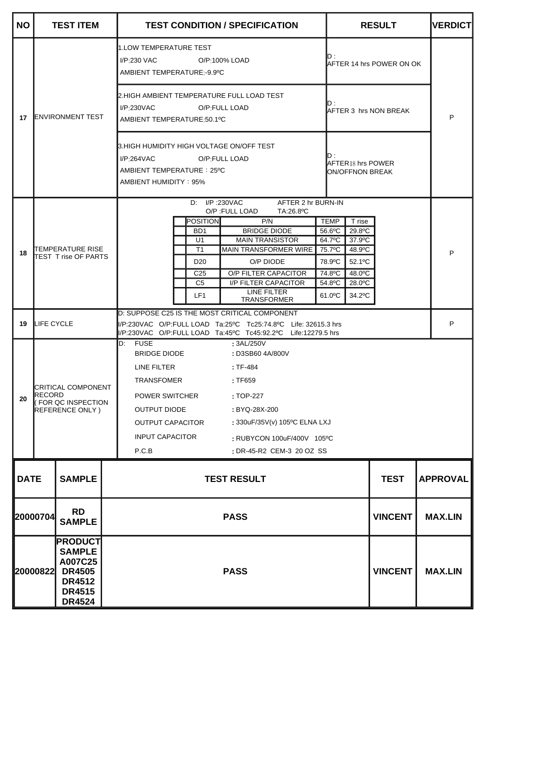| <b>NO</b>                                                                                                                  |                                                                                                                                               | <b>TEST ITEM</b>                                                                                                 |                                                                                                                                       | <b>TEST CONDITION / SPECIFICATION</b>                                                                 | <b>RESULT</b>            | <b>VERDICT</b>  |
|----------------------------------------------------------------------------------------------------------------------------|-----------------------------------------------------------------------------------------------------------------------------------------------|------------------------------------------------------------------------------------------------------------------|---------------------------------------------------------------------------------------------------------------------------------------|-------------------------------------------------------------------------------------------------------|--------------------------|-----------------|
|                                                                                                                            |                                                                                                                                               |                                                                                                                  |                                                                                                                                       | 1.LOW TEMPERATURE TEST<br>$I/P:230$ VAC<br>O/P:100% LOAD<br>AMBIENT TEMPERATURE:-9.9°C                | AFTER 14 hrs POWER ON OK |                 |
| 17                                                                                                                         | <b>IENVIRONMENT TEST</b>                                                                                                                      | 2.HIGH AMBIENT TEMPERATURE FULL LOAD TEST<br>D :<br>$I/P$ :230VAC<br>O/P FULL LOAD<br>AMBIENT TEMPERATURE:50.1°C | IAFTER 3  hrs NON BREAK                                                                                                               | P                                                                                                     |                          |                 |
|                                                                                                                            |                                                                                                                                               |                                                                                                                  | 3.HIGH HUMIDITY HIGH VOLTAGE ON/OFF TEST<br>ID :<br>I/P:264VAC<br>O/P:FULL LOAD<br>AMBIENT TEMPERATURE: 25°C<br>AMBIENT HUMIDITY: 95% | $AFTER18$ hrs POWER<br>ON/OFFNON BREAK                                                                |                          |                 |
|                                                                                                                            |                                                                                                                                               |                                                                                                                  |                                                                                                                                       | D: I/P:230VAC<br>AFTER 2 hr BURN-IN                                                                   |                          |                 |
|                                                                                                                            |                                                                                                                                               |                                                                                                                  |                                                                                                                                       | O/P : FULL LOAD<br>TA:26.8°C<br><b>POSITION</b><br>P/N<br><b>TEMP</b>                                 | T rise                   |                 |
|                                                                                                                            |                                                                                                                                               |                                                                                                                  |                                                                                                                                       | <b>BRIDGE DIODE</b><br>B <sub>D</sub> 1<br>56.6°C                                                     | 29.8°C                   |                 |
|                                                                                                                            |                                                                                                                                               |                                                                                                                  |                                                                                                                                       | <b>MAIN TRANSISTOR</b><br>64.7°C<br>U1                                                                | 37.9°C                   |                 |
| 18                                                                                                                         |                                                                                                                                               | TEMPERATURE RISE<br>TEST T rise OF PARTS                                                                         |                                                                                                                                       | MAIN TRANSFORMER WIRE<br>T1<br>75.7°C                                                                 | 48.9°C                   | P               |
|                                                                                                                            |                                                                                                                                               |                                                                                                                  |                                                                                                                                       | O/P DIODE<br>D <sub>20</sub><br>78.9°C                                                                | 52.1°C                   |                 |
|                                                                                                                            |                                                                                                                                               |                                                                                                                  |                                                                                                                                       | O/P FILTER CAPACITOR<br>74.8°C<br>C <sub>25</sub><br>C <sub>5</sub><br>I/P FILTER CAPACITOR<br>54.8°C | 48.0°C<br>28.0°C         |                 |
|                                                                                                                            |                                                                                                                                               |                                                                                                                  |                                                                                                                                       | LINE FILTER<br>LF <sub>1</sub><br>$61.0$ <sup>o</sup> C<br><b>TRANSFORMER</b>                         | 34.2°C                   |                 |
|                                                                                                                            |                                                                                                                                               |                                                                                                                  |                                                                                                                                       | D: SUPPOSE C25 IS THE MOST CRITICAL COMPONENT                                                         |                          |                 |
| 19                                                                                                                         | LIFE CYCLE<br>I/P:230VAC O/P:FULL LOAD Ta:25°C Tc25:74.8°C Life: 32615.3 hrs<br>l/P:230VAC O/P:FULL LOAD Ta:45°C Tc45:92.2°C Life:12279.5 hrs |                                                                                                                  | P                                                                                                                                     |                                                                                                       |                          |                 |
|                                                                                                                            |                                                                                                                                               |                                                                                                                  |                                                                                                                                       | <b>FUSE</b><br>D:<br>: 3AL/250V<br>BRIDGE DIODE<br>: D3SB60 4A/800V                                   |                          |                 |
|                                                                                                                            |                                                                                                                                               |                                                                                                                  |                                                                                                                                       | LINE FILTER<br>$:TF-484$                                                                              |                          |                 |
|                                                                                                                            |                                                                                                                                               |                                                                                                                  |                                                                                                                                       | <b>TRANSFOMER</b><br>: TF659                                                                          |                          |                 |
|                                                                                                                            |                                                                                                                                               | CRITICAL COMPONENT<br>RECORD<br>FOR QC INSPECTION<br>REFERENCE ONLY)                                             |                                                                                                                                       |                                                                                                       |                          |                 |
| 20                                                                                                                         |                                                                                                                                               |                                                                                                                  |                                                                                                                                       | POWER SWITCHER<br>: TOP-227                                                                           |                          |                 |
|                                                                                                                            |                                                                                                                                               |                                                                                                                  |                                                                                                                                       | <b>OUTPUT DIODE</b><br>: BYQ-28X-200                                                                  |                          |                 |
|                                                                                                                            |                                                                                                                                               |                                                                                                                  |                                                                                                                                       | : 330uF/35V(v) 105°C ELNA LXJ<br><b>OUTPUT CAPACITOR</b>                                              |                          |                 |
|                                                                                                                            |                                                                                                                                               |                                                                                                                  |                                                                                                                                       | <b>INPUT CAPACITOR</b><br>: RUBYCON 100uF/400V 105°C                                                  |                          |                 |
|                                                                                                                            |                                                                                                                                               |                                                                                                                  |                                                                                                                                       | P.C.B<br>: DR-45-R2 CEM-3 20 OZ SS                                                                    |                          |                 |
| <b>DATE</b>                                                                                                                |                                                                                                                                               | <b>SAMPLE</b>                                                                                                    |                                                                                                                                       | <b>TEST RESULT</b>                                                                                    | <b>TEST</b>              | <b>APPROVAL</b> |
|                                                                                                                            | <b>RD</b><br>20000704<br><b>SAMPLE</b>                                                                                                        |                                                                                                                  |                                                                                                                                       | <b>PASS</b>                                                                                           | <b>VINCENT</b>           | <b>MAX.LIN</b>  |
| <b>PRODUCT</b><br><b>SAMPLE</b><br>A007C25<br><b>DR4505</b><br>20000822<br><b>DR4512</b><br><b>DR4515</b><br><b>DR4524</b> |                                                                                                                                               |                                                                                                                  | <b>PASS</b>                                                                                                                           | <b>VINCENT</b>                                                                                        | <b>MAX.LIN</b>           |                 |